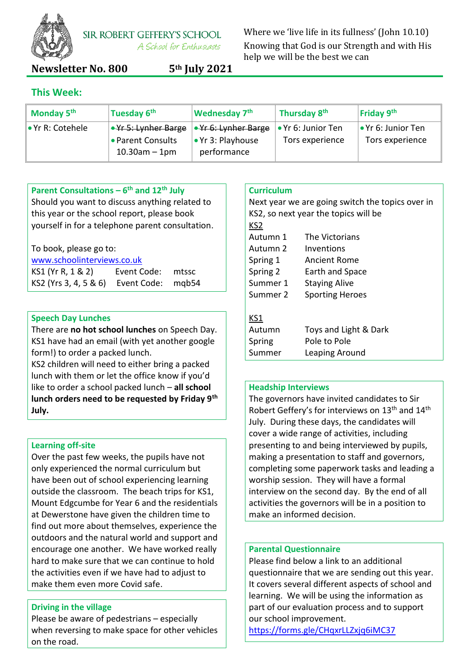

**SIR ROBERT GEFFERY'S SCHOOL** A School for Enthusiasts

**Newsletter No. 800 5th July 2021**

Where we 'live life in its fullness' (John 10.10) Knowing that God is our Strength and with His help we will be the best we can

# **This Week:**

| Monday 5 <sup>th</sup> | Tuesday 6 <sup>th</sup>                                       | <b>Wednesday 7th</b>                                                        | Thursday 8 <sup>th</sup>              | Friday 9th                                    |
|------------------------|---------------------------------------------------------------|-----------------------------------------------------------------------------|---------------------------------------|-----------------------------------------------|
| l • Yr R: Cotehele     | ∣∙¥r 5: Lynher Barge<br>• Parent Consults<br>$10.30$ am – 1pm | <del>• Yr 6: Lynher Barge</del><br>$\bullet$ Yr 3: Playhouse<br>performance | • Yr 6: Junior Ten<br>Tors experience | $\bullet$ Yr 6: Junior Ten<br>Tors experience |

### **Parent Consultations – 6 th and 12th July**

Should you want to discuss anything related to this year or the school report, please book yourself in for a telephone parent consultation.

| To book, please go to: |  |  |  |  |  |
|------------------------|--|--|--|--|--|
|------------------------|--|--|--|--|--|

| www.schoolinterviews.co.uk              |                   |  |  |
|-----------------------------------------|-------------------|--|--|
| KS1 (Yr R, 1 & 2)                       | Event Code: mtssc |  |  |
| KS2 (Yrs 3, 4, 5 & 6) Event Code: mgb54 |                   |  |  |

#### **Speech Day Lunches**

There are **no hot school lunches** on Speech Day. KS1 have had an email (with yet another google form!) to order a packed lunch.

KS2 children will need to either bring a packed lunch with them or let the office know if you'd like to order a school packed lunch – **all school lunch orders need to be requested by Friday 9th July.**

#### **Learning off-site**

Over the past few weeks, the pupils have not only experienced the normal curriculum but have been out of school experiencing learning outside the classroom. The beach trips for KS1, Mount Edgcumbe for Year 6 and the residentials at Dewerstone have given the children time to find out more about themselves, experience the outdoors and the natural world and support and encourage one another. We have worked really hard to make sure that we can continue to hold the activities even if we have had to adjust to make them even more Covid safe.

#### **Driving in the village**

Please be aware of pedestrians – especially when reversing to make space for other vehicles on the road.

#### **Curriculum**

Next year we are going switch the topics over in KS2, so next year the topics will be KS2 Autumn 1 The Victorians Autumn 2 Inventions Spring 1 Ancient Rome Spring 2 Earth and Space Summer 1 Staying Alive Summer 2 Sporting Heroes KS1 Autumn Toys and Light & Dark Spring Pole to Pole Summer Leaping Around

#### **Headship Interviews**

The governors have invited candidates to Sir Robert Geffery's for interviews on 13<sup>th</sup> and 14<sup>th</sup> July. During these days, the candidates will cover a wide range of activities, including presenting to and being interviewed by pupils, making a presentation to staff and governors, completing some paperwork tasks and leading a worship session. They will have a formal interview on the second day. By the end of all activities the governors will be in a position to make an informed decision.

#### **Parental Questionnaire**

Please find below a link to an additional questionnaire that we are sending out this year. It covers several different aspects of school and learning. We will be using the information as part of our evaluation process and to support our school improvement.

<https://forms.gle/CHqxrLLZxjq6iMC37>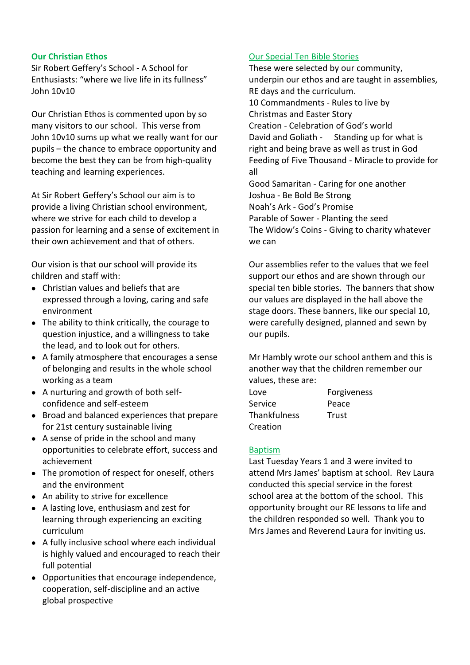#### **Our Christian Ethos**

Sir Robert Geffery's School - A School for Enthusiasts: "where we live life in its fullness" John 10v10

Our Christian Ethos is commented upon by so many visitors to our school. This verse from John 10v10 sums up what we really want for our pupils – the chance to embrace opportunity and become the best they can be from high-quality teaching and learning experiences.

At Sir Robert Geffery's School our aim is to provide a living Christian school environment, where we strive for each child to develop a passion for learning and a sense of excitement in their own achievement and that of others.

Our vision is that our school will provide its children and staff with:

- Christian values and beliefs that are expressed through a loving, caring and safe environment
- The ability to think critically, the courage to question injustice, and a willingness to take the lead, and to look out for others.
- A family atmosphere that encourages a sense of belonging and results in the whole school working as a team
- A nurturing and growth of both selfconfidence and self-esteem
- Broad and balanced experiences that prepare for 21st century sustainable living
- A sense of pride in the school and many opportunities to celebrate effort, success and achievement
- The promotion of respect for oneself, others and the environment
- An ability to strive for excellence
- A lasting love, enthusiasm and zest for learning through experiencing an exciting curriculum
- A fully inclusive school where each individual is highly valued and encouraged to reach their full potential
- Opportunities that encourage independence, cooperation, self-discipline and an active global prospective

#### Our Special Ten Bible Stories

These were selected by our community, underpin our ethos and are taught in assemblies, RE days and the curriculum. 10 Commandments - Rules to live by Christmas and Easter Story Creation - Celebration of God's world David and Goliath - Standing up for what is right and being brave as well as trust in God Feeding of Five Thousand - Miracle to provide for all Good Samaritan - Caring for one another Joshua - Be Bold Be Strong Noah's Ark - God's Promise Parable of Sower - Planting the seed The Widow's Coins - Giving to charity whatever

Our assemblies refer to the values that we feel support our ethos and are shown through our special ten bible stories. The banners that show our values are displayed in the hall above the stage doors. These banners, like our special 10, were carefully designed, planned and sewn by our pupils.

Mr Hambly wrote our school anthem and this is another way that the children remember our values, these are:

| Love                | Forgiveness |
|---------------------|-------------|
| Service             | Peace       |
| <b>Thankfulness</b> | Trust       |
| Creation            |             |

#### Baptism

we can

Last Tuesday Years 1 and 3 were invited to attend Mrs James' baptism at school. Rev Laura conducted this special service in the forest school area at the bottom of the school. This opportunity brought our RE lessons to life and the children responded so well. Thank you to Mrs James and Reverend Laura for inviting us.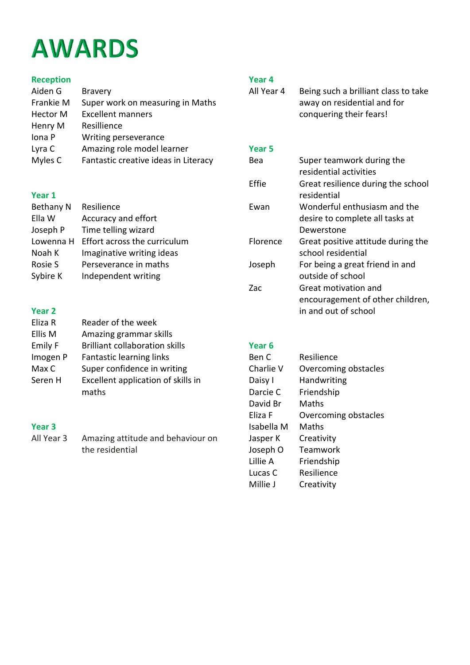# **AWARDS**

# **Reception**

| <b>Bravery</b>                       |
|--------------------------------------|
| Super work on measuring in Maths     |
| <b>Excellent manners</b>             |
| Resillience                          |
| Writing perseverance                 |
| Amazing role model learner           |
| Fantastic creative ideas in Literacy |
|                                      |

#### **Year 1**

| Resilience                   |
|------------------------------|
| Accuracy and effort          |
| Time telling wizard          |
| Effort across the curriculum |
| Imaginative writing ideas    |
| Perseverance in maths        |
| Independent writing          |
|                              |

# **Year 2**

| Eliza R        | Reader of the week                          |
|----------------|---------------------------------------------|
| Ellis M        | Amazing grammar skills                      |
| <b>Emily F</b> | <b>Brilliant collaboration skills</b>       |
| Imogen P       | Fantastic learning links                    |
| Max C          | Super confidence in writing                 |
| Seren H        | Excellent application of skills in<br>maths |
|                |                                             |

# **Year 3**

All Year 3 Amazing attitude and behaviour on the residential

# **Year 4**

| All Year 4 | Being such a brilliant class to take |
|------------|--------------------------------------|
|            | away on residential and for          |
|            | conquering their fears!              |

#### **Year 5**

| Bea             | Super teamwork during the          |
|-----------------|------------------------------------|
|                 | residential activities             |
| Effie           | Great resilience during the school |
|                 | residential                        |
| Ewan            | Wonderful enthusiasm and the       |
|                 | desire to complete all tasks at    |
|                 | Dewerstone                         |
| <b>Florence</b> | Great positive attitude during the |
|                 | school residential                 |
| Joseph          | For being a great friend in and    |
|                 | outside of school                  |
| Zac             | Great motivation and               |
|                 | encouragement of other children,   |
|                 | in and out of school               |
|                 |                                    |

#### **Year 6**

| Ben C      | Resilience           |
|------------|----------------------|
| Charlie V  | Overcoming obstacles |
| Daisy I    | Handwriting          |
| Darcie C   | Friendship           |
| David Br   | Maths                |
| Eliza F    | Overcoming obstacles |
| Isabella M | Maths                |
| Jasper K   | Creativity           |
| Joseph O   | Teamwork             |
| Lillie A   | Friendship           |
| Lucas C    | Resilience           |
| Millie J   | Creativity           |